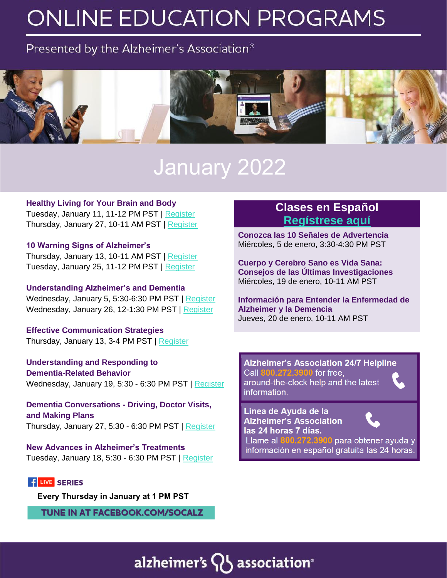# **ONLINE EDUCATION PROGRAMS**

### Presented by the Alzheimer's Association<sup>®</sup>



## January 2022

#### **Healthy Living for Your Brain and Body**

Tuesday, January 11, 11-12 PM PST | [Register](https://www.communityresourcefinder.org/ResourceView/Index?id=2410835&profileDefinitionId=93) Thursday, January 27, 10-11 AM PST | [Register](https://www.communityresourcefinder.org/ResourceView/Index?id=2410626)

#### **10 Warning Signs of Alzheimer's**

Thursday, January 13, 10-11 AM PST | [Register](https://www.communityresourcefinder.org/ResourceView/Index?id=2410623) Tuesday, January 25, 11-12 PM PST | [Register](https://www.communityresourcefinder.org/ResourceView/Index?id=2410834&profileDefinitionId=93)

### **Understanding Alzheimer's and Dementia**

Wednesday, January 5, 5:30-6:30 PM PST | [Register](https://www.communityresourcefinder.org/ResourceView/Index?id=2409220&profileDefinitionId=93) Wednesday, January 26, 12-1:30 PM PST | [Register](https://www.communityresourcefinder.org/ResourceView/Index?id=2412530&profileDefinitionId=93)

**Effective Communication Strategies** Thursday, January 13, 3-4 PM PST | [Register](https://www.communityresourcefinder.org/ResourceView/Index?id=2409194&profileDefinitionId=93)

**Understanding and Responding to Dementia-Related Behavior** Wednesday, January 19, 5:30 - 6:30 PM PST | [Register](https://www.communityresourcefinder.org/ResourceView/Index?id=2409217&profileDefinitionId=93)

**Dementia Conversations - Driving, Doctor Visits, and Making Plans** Thursday, January 27, 5:30 - 6:30 PM PST | [Register](https://www.communityresourcefinder.org/ResourceView/Index?id=2408159&profileDefinitionId=93)

**New Advances in Alzheimer's Treatments** Tuesday, January 18, 5:30 - 6:30 PM PST | [Register](https://www.communityresourcefinder.org/ResourceView/Index?id=2407945&profileDefinitionId=93)

### **f** LIVE SERIES

**[Every Thursday in January at 1 PM PST](https://www.facebook.com/socALZ/)** 

**TUNE IN AT FACEBOOK.COM/SOCALZ** 

### **Clases en Español [Regístrese aquí](https://docs.google.com/forms/d/e/1FAIpQLSfb2Mc43BRzZ-E4-sEvvPFxZG0sXacCwv6D3ArqhZtJzDmNVg/viewform)**

**Conozca las 10 Señales de Advertencia** Miércoles, 5 de enero, 3:30-4:30 PM PST

**Cuerpo y Cerebro Sano es Vida Sana: Consejos de las Últimas Investigaciones** Miércoles, 19 de enero, 10-11 AM PST

**Información para Entender la Enfermedad de Alzheimer y la Demencia** Jueves, 20 de enero, 10-11 AM PST

**Alzheimer's Association 24/7 Helpline** Call 800.272.3900 for free, around-the-clock help and the latest information.



Línea de Ayuda de la **Alzheimer's Association** las 24 horas 7 días.



Llame al 800.272.3900 para obtener ayuda y información en español gratuita las 24 horas.

## alzheimer's  $Q_5$  association<sup>®</sup>